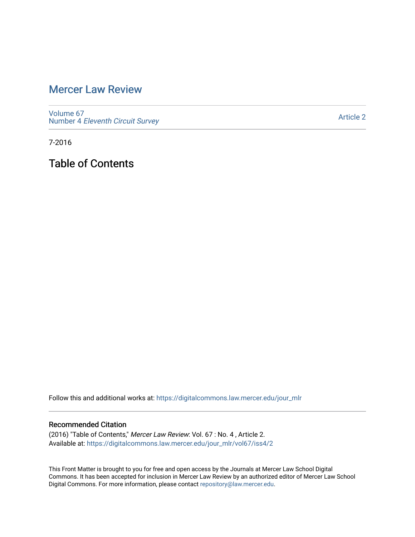## [Mercer Law Review](https://digitalcommons.law.mercer.edu/jour_mlr)

[Volume 67](https://digitalcommons.law.mercer.edu/jour_mlr/vol67) Number 4 [Eleventh Circuit Survey](https://digitalcommons.law.mercer.edu/jour_mlr/vol67/iss4) 

[Article 2](https://digitalcommons.law.mercer.edu/jour_mlr/vol67/iss4/2) 

7-2016

Table of Contents

Follow this and additional works at: [https://digitalcommons.law.mercer.edu/jour\\_mlr](https://digitalcommons.law.mercer.edu/jour_mlr?utm_source=digitalcommons.law.mercer.edu%2Fjour_mlr%2Fvol67%2Fiss4%2F2&utm_medium=PDF&utm_campaign=PDFCoverPages)

#### Recommended Citation

(2016) "Table of Contents," Mercer Law Review: Vol. 67 : No. 4 , Article 2. Available at: [https://digitalcommons.law.mercer.edu/jour\\_mlr/vol67/iss4/2](https://digitalcommons.law.mercer.edu/jour_mlr/vol67/iss4/2?utm_source=digitalcommons.law.mercer.edu%2Fjour_mlr%2Fvol67%2Fiss4%2F2&utm_medium=PDF&utm_campaign=PDFCoverPages)

This Front Matter is brought to you for free and open access by the Journals at Mercer Law School Digital Commons. It has been accepted for inclusion in Mercer Law Review by an authorized editor of Mercer Law School Digital Commons. For more information, please contact [repository@law.mercer.edu](mailto:repository@law.mercer.edu).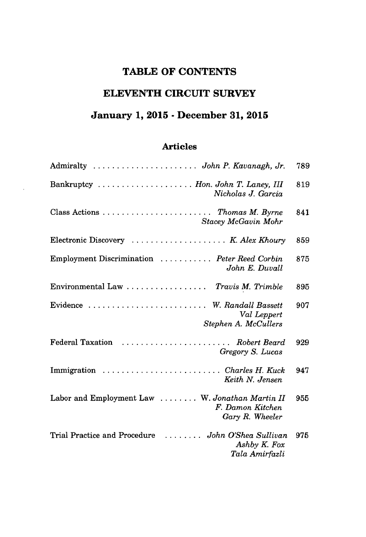## **TABLE OF CONTENTS**

### **ELEVENTH CIRCUIT SURVEY**

# **January 1, 2015 - December 31, 2015**

### **Articles**

| Admiralty  John P. Kavanagh, Jr.                                                                 | 789 |
|--------------------------------------------------------------------------------------------------|-----|
| Bankruptcy  Hon. John T. Laney, III<br>Nicholas J. Garcia                                        | 819 |
| Class Actions $\ldots \ldots \ldots \ldots \ldots \ldots$ Thomas M. Byrne<br>Stacey McGavin Mohr | 841 |
| Electronic Discovery  K. Alex Khoury                                                             | 859 |
| Employment Discrimination  Peter Reed Corbin<br>John E. Duvall                                   | 875 |
| Environmental Law  Travis M. Trimble                                                             | 895 |
| Evidence  W. Randall Bassett<br>Val Leppert<br>Stephen A. McCullers                              | 907 |
| Federal Taxation<br>Robert Beard<br>Gregory S. Lucas                                             | 929 |
| Immigration  Charles H. Kuck<br>Keith N. Jensen                                                  | 947 |
| Labor and Employment Law  W. Jonathan Martin II<br>F. Damon Kitchen<br>Gary R. Wheeler           | 955 |
| Trial Practice and Procedure  John O'Shea Sullivan<br>Ashby K. Fox<br>Tala Amirfazli             | 975 |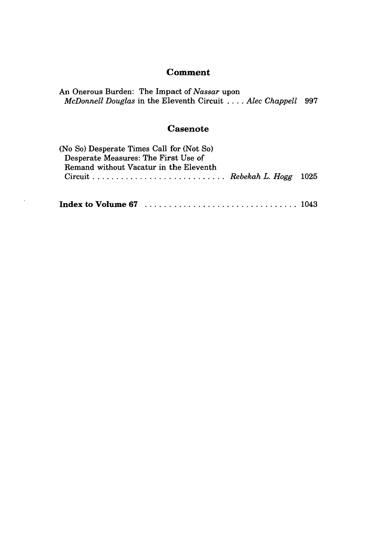#### **Comment**

An Onerous Burden: The Impact of *Nassar* upon *McDonnell Douglas* in the Eleventh Circuit **. ...** *Alec Chappell 997*

### **Casenote**

| (No So) Desperate Times Call for (Not So) |  |
|-------------------------------------------|--|
| Desperate Measures: The First Use of      |  |
| Remand without Vacatur in the Eleventh    |  |
|                                           |  |
|                                           |  |
|                                           |  |
|                                           |  |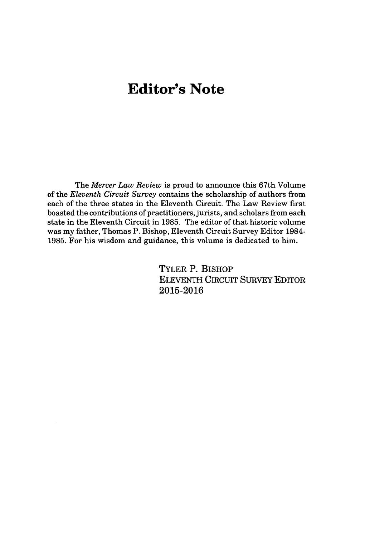# **Editor's Note**

The *Mercer Law Review* is proud to announce this 67th Volume of the *Eleventh Circuit Survey* contains the scholarship of authors from each of the three states in the Eleventh Circuit. The Law Review first boasted the contributions of practitioners, jurists, and scholars from each state in the Eleventh Circuit in **1985.** The editor of that historic volume was my father, Thomas P. Bishop, Eleventh Circuit Survey Editor 1984- **1985.** For his wisdom and guidance, this volume is dedicated to him.

> TYLER P. BISHoP ELEVENTH CIRCUIT SURVEY EDITOR **2015-2016**